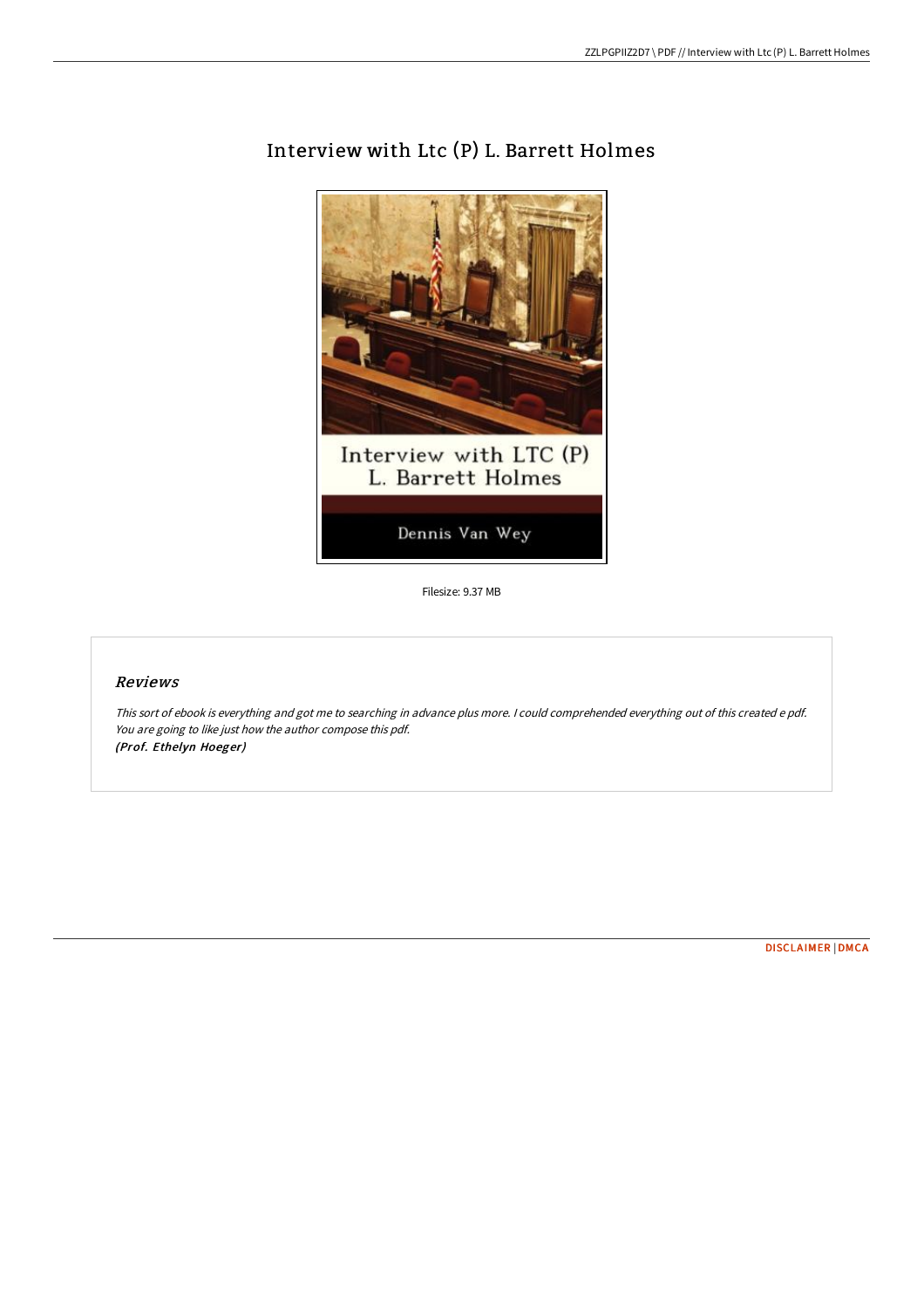

## Interview with Ltc (P) L. Barrett Holmes

Filesize: 9.37 MB

## Reviews

This sort of ebook is everything and got me to searching in advance plus more. <sup>I</sup> could comprehended everything out of this created <sup>e</sup> pdf. You are going to like just how the author compose this pdf. (Prof. Ethelyn Hoeger)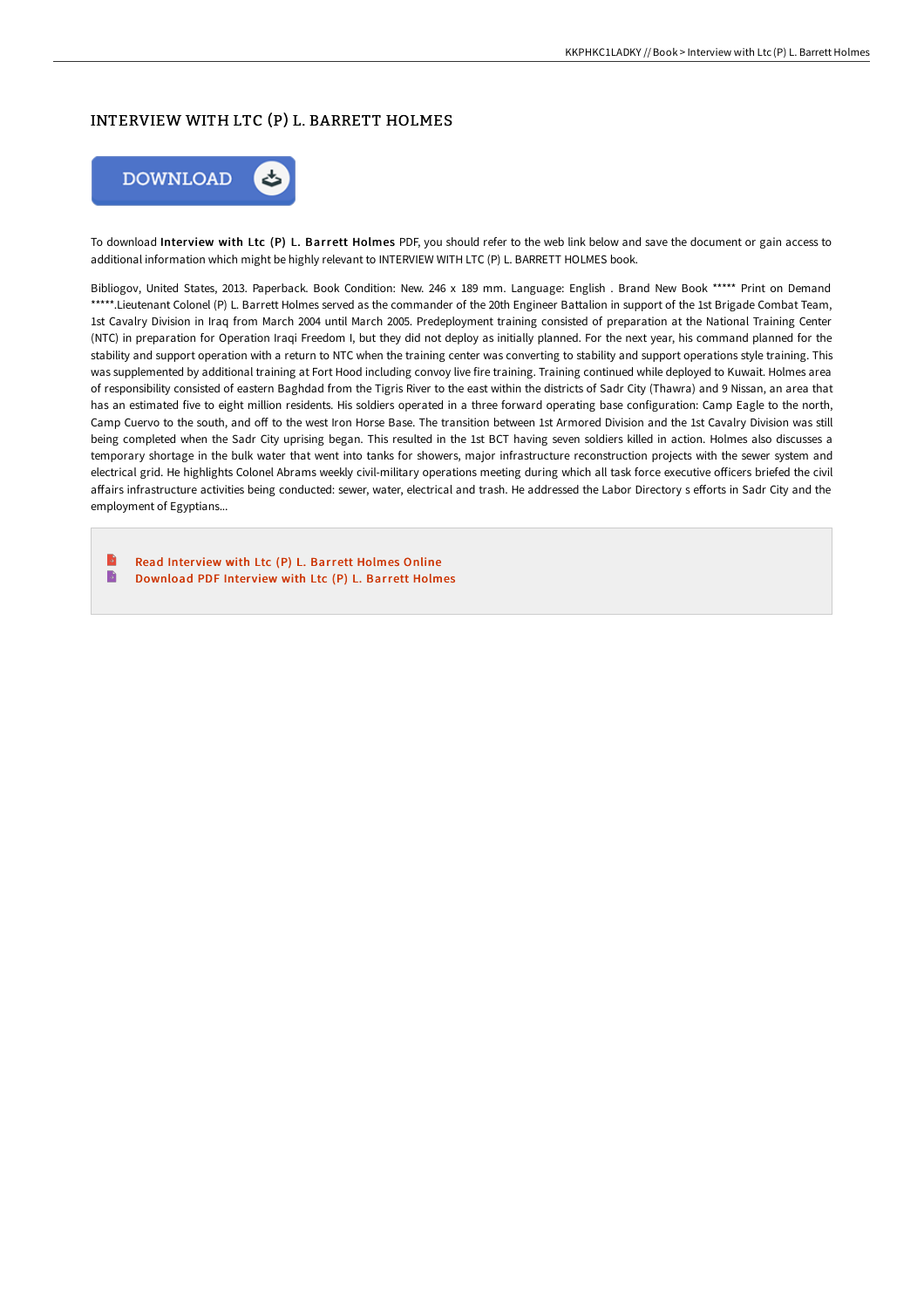## INTERVIEW WITH LTC (P) L. BARRETT HOLMES



To download Interview with Ltc (P) L. Barrett Holmes PDF, you should refer to the web link below and save the document or gain access to additional information which might be highly relevant to INTERVIEW WITH LTC (P) L. BARRETT HOLMES book.

Bibliogov, United States, 2013. Paperback. Book Condition: New. 246 x 189 mm. Language: English . Brand New Book \*\*\*\*\* Print on Demand \*\*\*\*\*.Lieutenant Colonel (P) L. Barrett Holmes served as the commander of the 20th Engineer Battalion in support of the 1st Brigade Combat Team, 1st Cavalry Division in Iraq from March 2004 until March 2005. Predeployment training consisted of preparation at the National Training Center (NTC) in preparation for Operation Iraqi Freedom I, but they did not deploy as initially planned. For the next year, his command planned for the stability and support operation with a return to NTC when the training center was converting to stability and support operations style training. This was supplemented by additional training at Fort Hood including convoy live fire training. Training continued while deployed to Kuwait. Holmes area of responsibility consisted of eastern Baghdad from the Tigris River to the east within the districts of Sadr City (Thawra) and 9 Nissan, an area that has an estimated five to eight million residents. His soldiers operated in a three forward operating base configuration: Camp Eagle to the north, Camp Cuervo to the south, and off to the west Iron Horse Base. The transition between 1st Armored Division and the 1st Cavalry Division was still being completed when the Sadr City uprising began. This resulted in the 1st BCT having seven soldiers killed in action. Holmes also discusses a temporary shortage in the bulk water that went into tanks for showers, major infrastructure reconstruction projects with the sewer system and electrical grid. He highlights Colonel Abrams weekly civil-military operations meeting during which all task force executive officers briefed the civil affairs infrastructure activities being conducted: sewer, water, electrical and trash. He addressed the Labor Directory s efforts in Sadr City and the employment of Egyptians...

B Read Interview with Ltc (P) L. Barrett [Holmes](http://bookera.tech/interview-with-ltc-p-l-barrett-holmes-paperback.html) Online B [Download](http://bookera.tech/interview-with-ltc-p-l-barrett-holmes-paperback.html) PDF Interview with Ltc (P) L. Barrett Holmes